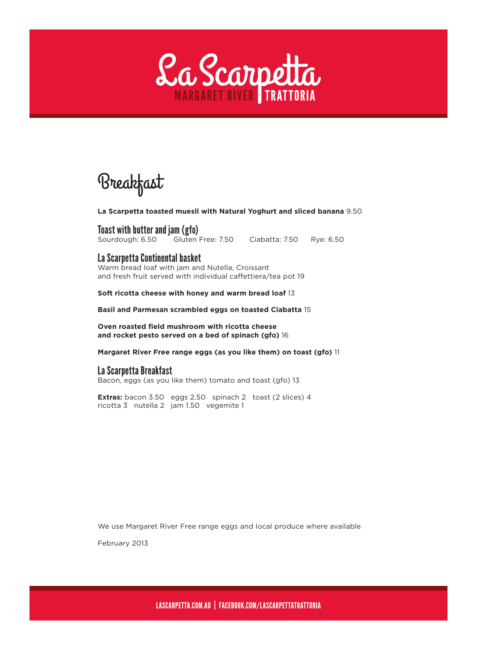

Breakfast

**La Scarpetta toasted muesli with Natural Yoghurt and sliced banana** 9.50

Toast with butter and jam (gfo) Sourdough: 6.50 Gluten Free: 7.50 Ciabatta: 7.50 Rye: 6.50

#### La Scarpetta Continental basket

Warm bread loaf with jam and Nutella, Croissant and fresh fruit served with individual caffettiera/tea pot 19

**Soft ricotta cheese with honey and warm bread loaf** 13

**Basil and Parmesan scrambled eggs on toasted Ciabatta** 15

**Oven roasted field mushroom with ricotta cheese and rocket pesto served on a bed of spinach (gfo)** 16

**Margaret River Free range eggs (as you like them) on toast (gfo)** 11

### La Scarpetta Breakfast

Bacon, eggs (as you like them) tomato and toast (gfo) 13

**Extras:** bacon 3.50 eggs 2.50 spinach 2 toast (2 slices) 4 ricotta 3 nutella 2 jam 1.50 vegemite 1

We use Margaret River Free range eggs and local produce where available

February 2013

LASCARPETTA.COM.AU | FACEBOOK.COM/LASCARPETTATRATTORIA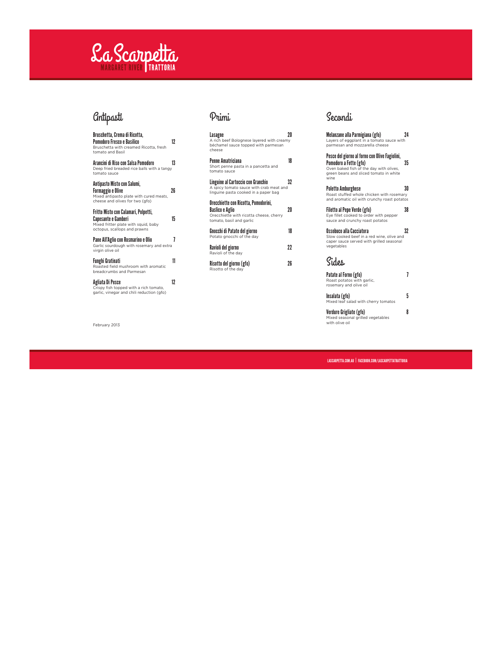## La Scarpetta TRATTORIA

## *<u></u>Gntipasti*

Bruschetta, Crema di Ricotta, Pomodoro Fresco e Basilico 12 Bruschetta with creamed Ricotta, fresh tomato and Basil

Arancini di Riso con Salsa Pomodoro 13 Deep fried breaded rice balls with a tangy tomato sauce

Antipasto Misto con Salumi, Formaggio e Olive 26 Mixed antipasto plate with cured meats, cheese and olives for two (gfo)

Fritto Misto con Calamari, Polpetti, Capesante e Gamberi 15 Mixed fritter plate with squid, baby octopus, scallops and prawns

Pane All'Aglio con Rosmarino e Olio 7 Garlic sourdough with rosemary and extra virgin olive oil

**Funghi Gratinati**<br>Roasted field mushroom with aromatic 11<br>breadcrumbs and Parmesan

Agliata Di Pesce 12 Crispy fish topped with a rich tomato, garlic, vinegar and chili reduction (gfo)

February 2013

## Primi

**Lasagne**<br>A rich beef Bolognese layered with creamy<br>béchamel sauce topped with parmesan<br>cheese

**Penne Amatriciana**<br>Short penne pasta in a pancetta and **18**<br>tomato sauce

Linguine al Cartoccio con Granchio 32 A spicy tomato sauce with crab meat and linguine pasta cooked in a paper bag

Orecchiette con Ricotta, Pomodorini, Baslico e Aglio 20 Orecchiette with ricotta cheese, cherry tomato, basil and garlic

Gnocchi di Patate del giorno 18 Potato gnocchi of the day **Ravioli del giorno 1988 - 22 Ravioli del giorno 1988 - 22 Ravioli del Solomo 22 R**<br>Ravioli of the day

Risotto del giorno (gfo) 26 Risotto of the day

## Secondi

Melanzane alla Parmigiana (gfo) 24 Layers of eggplant in a tomato sauce with parmesan and mozzarella cheese

Pesce del giorno al forno con Olive Fagiolini, Pomodoro a Fette (gfo) 35 Oven baked fish of the day with olives, green beans and sliced tomato in white wine

Poletto Amburghese 30 Roast stuffed whole chicken with rosemary and aromatic oil with crunchy roast potatos

Filetto al Pepe Verde (gfo) 38 Eye fillet cooked to order with pepper sauce and crunchy roast potatos

Ossobuco alla Cacciatora 32 Slow cooked beef in a red wine, olive and caper sauce served with grilled seasonal vegetables

## Sides

Patate al Forno (gfo) 7 Roast potatos with garlic, rosemary and olive oil

Insalata (gfo) 5 Mixed leaf salad with cherry tomatos

Verdure Grigliate (gfo) 8 Mixed seasonal grilled vegetables with olive oil

LASCARPETTA.COM.AU | FACEBOOK.COM/LASCARPETTATRATTORIA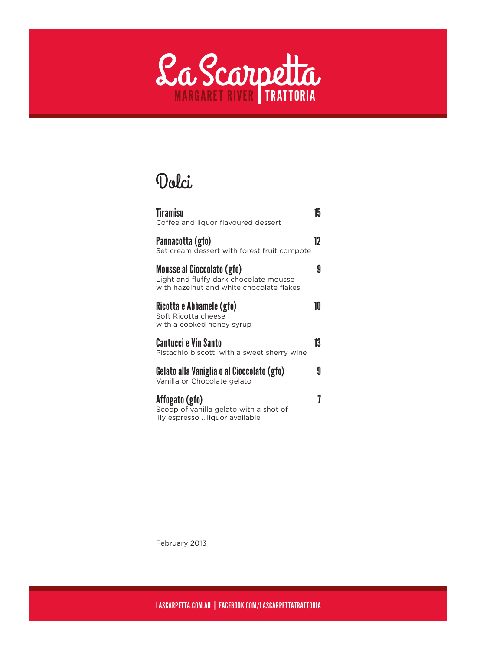

# Dolci

| <b>Tiramisu</b><br>Coffee and liquor flavoured dessert                                                           | 15 |
|------------------------------------------------------------------------------------------------------------------|----|
| Pannacotta (gfo)<br>Set cream dessert with forest fruit compote                                                  | 12 |
| Mousse al Cioccolato (gfo)<br>Light and fluffy dark chocolate mousse<br>with hazelnut and white chocolate flakes | 9  |
| Ricotta e Abbamele (gfo)<br>Soft Ricotta cheese<br>with a cooked honey syrup                                     | 10 |
| Cantucci e Vin Santo<br>Pistachio biscotti with a sweet sherry wine                                              | 13 |
| Gelato alla Vaniglia o al Cioccolato (gfo)<br>Vanilla or Chocolate gelato                                        | 9  |
| Affogato (gfo)<br>Scoop of vanilla gelato with a shot of<br>illy espresso  liquor available                      |    |

February 2013

LASCARPETTA.COM.AU | FACEBOOK.COM/LASCARPETTATRATTORIA